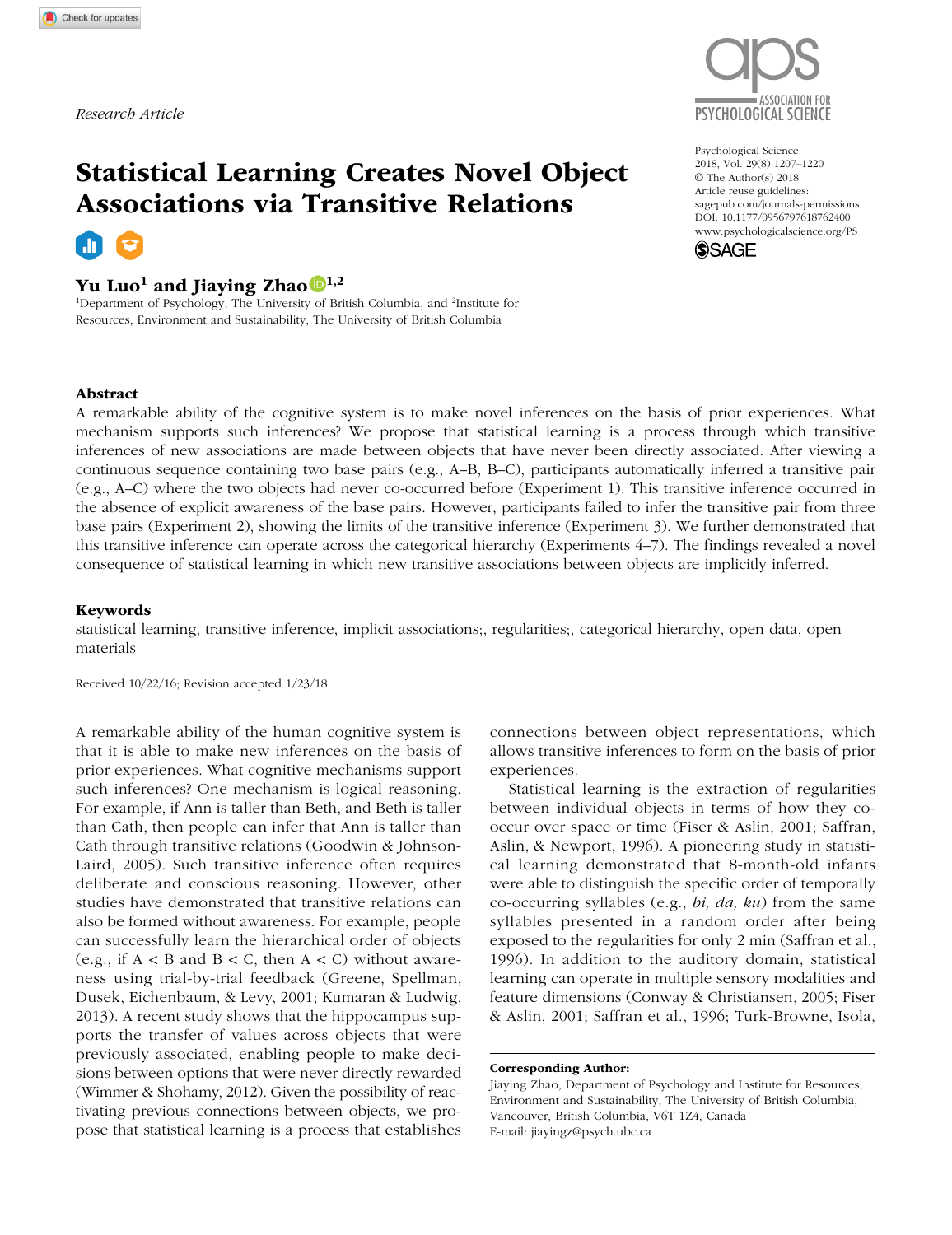

# Statistical Learning Creates Novel Object Associations via Transitive Relations

## Yu Luo<sup>1</sup> and Jiaying Zhao  $\mathbb{D}^{1,2}$

<sup>1</sup>Department of Psychology, The University of British Columbia, and <sup>2</sup>Institute for Resources, Environment and Sustainability, The University of British Columbia

https://doi.org/10.1177/0956797618762400 DOI: 10.1177/0956797618762400 Psychological Science 2018, Vol. 29(8) 1207–1220 © The Author(s) 2018 Article reuse guidelines: [sagepub.com/journals-permissions](https://sagepub.com/journals-permissions) [www.psychologicalscience.org/PS](http://www.psychologicalscience.org/ps)



#### Abstract

A remarkable ability of the cognitive system is to make novel inferences on the basis of prior experiences. What mechanism supports such inferences? We propose that statistical learning is a process through which transitive inferences of new associations are made between objects that have never been directly associated. After viewing a continuous sequence containing two base pairs (e.g., A–B, B–C), participants automatically inferred a transitive pair (e.g., A–C) where the two objects had never co-occurred before (Experiment 1). This transitive inference occurred in the absence of explicit awareness of the base pairs. However, participants failed to infer the transitive pair from three base pairs (Experiment 2), showing the limits of the transitive inference (Experiment 3). We further demonstrated that this transitive inference can operate across the categorical hierarchy (Experiments 4–7). The findings revealed a novel consequence of statistical learning in which new transitive associations between objects are implicitly inferred.

#### Keywords

statistical learning, transitive inference, implicit associations;, regularities;, categorical hierarchy, open data, open materials

Received 10/22/16; Revision accepted 1/23/18

A remarkable ability of the human cognitive system is that it is able to make new inferences on the basis of prior experiences. What cognitive mechanisms support such inferences? One mechanism is logical reasoning. For example, if Ann is taller than Beth, and Beth is taller than Cath, then people can infer that Ann is taller than Cath through transitive relations (Goodwin & Johnson-Laird, 2005). Such transitive inference often requires deliberate and conscious reasoning. However, other studies have demonstrated that transitive relations can also be formed without awareness. For example, people can successfully learn the hierarchical order of objects (e.g., if  $A < B$  and  $B < C$ , then  $A < C$ ) without awareness using trial-by-trial feedback (Greene, Spellman, Dusek, Eichenbaum, & Levy, 2001; Kumaran & Ludwig, 2013). A recent study shows that the hippocampus supports the transfer of values across objects that were previously associated, enabling people to make decisions between options that were never directly rewarded (Wimmer & Shohamy, 2012). Given the possibility of reactivating previous connections between objects, we propose that statistical learning is a process that establishes

connections between object representations, which allows transitive inferences to form on the basis of prior experiences.

Statistical learning is the extraction of regularities between individual objects in terms of how they cooccur over space or time (Fiser & Aslin, 2001; Saffran, Aslin, & Newport, 1996). A pioneering study in statistical learning demonstrated that 8-month-old infants were able to distinguish the specific order of temporally co-occurring syllables (e.g., *bi, da, ku*) from the same syllables presented in a random order after being exposed to the regularities for only 2 min (Saffran et al., 1996). In addition to the auditory domain, statistical learning can operate in multiple sensory modalities and feature dimensions (Conway & Christiansen, 2005; Fiser & Aslin, 2001; Saffran et al., 1996; Turk-Browne, Isola,

Jiaying Zhao, Department of Psychology and Institute for Resources, Environment and Sustainability, The University of British Columbia, Vancouver, British Columbia, V6T 1Z4, Canada E-mail: [jiayingz@psych.ubc.ca](mailto:jiayingz@psych.ubc.ca)

Corresponding Author: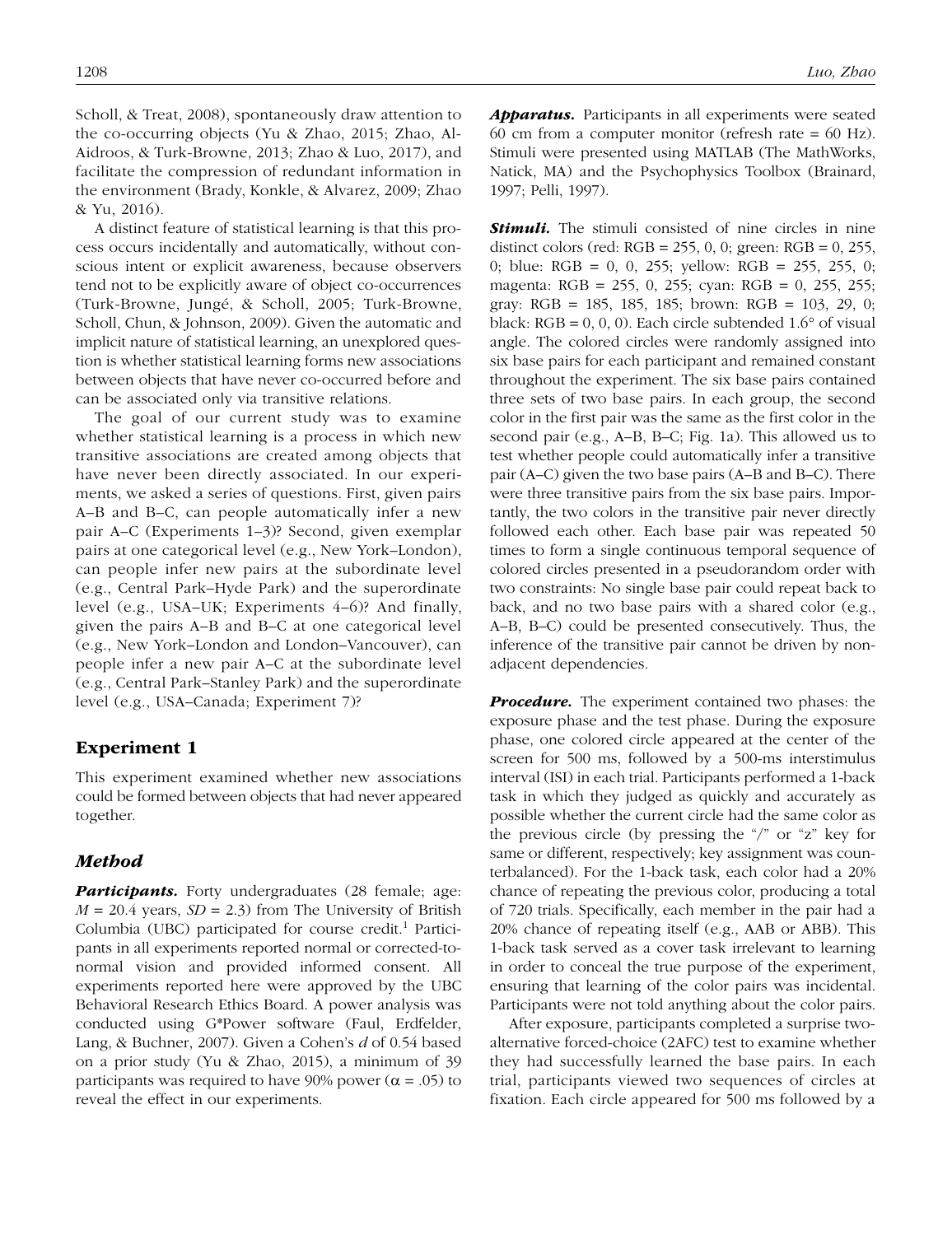Scholl, & Treat, 2008), spontaneously draw attention to the co-occurring objects (Yu & Zhao, 2015; Zhao, Al-Aidroos, & Turk-Browne, 2013; Zhao & Luo, 2017), and facilitate the compression of redundant information in the environment (Brady, Konkle, & Alvarez, 2009; Zhao & Yu, 2016).

A distinct feature of statistical learning is that this process occurs incidentally and automatically, without conscious intent or explicit awareness, because observers tend not to be explicitly aware of object co-occurrences (Turk-Browne, Jungé, & Scholl, 2005; Turk-Browne, Scholl, Chun, & Johnson, 2009). Given the automatic and implicit nature of statistical learning, an unexplored question is whether statistical learning forms new associations between objects that have never co-occurred before and can be associated only via transitive relations.

The goal of our current study was to examine whether statistical learning is a process in which new transitive associations are created among objects that have never been directly associated. In our experiments, we asked a series of questions. First, given pairs A–B and B–C, can people automatically infer a new pair A–C (Experiments 1–3)? Second, given exemplar pairs at one categorical level (e.g., New York–London), can people infer new pairs at the subordinate level (e.g., Central Park–Hyde Park) and the superordinate level (e.g., USA–UK; Experiments 4–6)? And finally, given the pairs A–B and B–C at one categorical level (e.g., New York–London and London–Vancouver), can people infer a new pair A–C at the subordinate level (e.g., Central Park–Stanley Park) and the superordinate level (e.g., USA–Canada; Experiment 7)?

## Experiment 1

This experiment examined whether new associations could be formed between objects that had never appeared together.

#### *Method*

*Participants.* Forty undergraduates (28 female; age:  $M = 20.4$  years,  $SD = 2.3$ ) from The University of British Columbia (UBC) participated for course credit.<sup>1</sup> Participants in all experiments reported normal or corrected-tonormal vision and provided informed consent. All experiments reported here were approved by the UBC Behavioral Research Ethics Board. A power analysis was conducted using G\*Power software (Faul, Erdfelder, Lang, & Buchner, 2007). Given a Cohen's *d* of 0.54 based on a prior study (Yu & Zhao, 2015), a minimum of 39 participants was required to have 90% power  $(\alpha = .05)$  to reveal the effect in our experiments.

*Apparatus.* Participants in all experiments were seated 60 cm from a computer monitor (refresh rate  $= 60$  Hz). Stimuli were presented using MATLAB (The MathWorks, Natick, MA) and the Psychophysics Toolbox (Brainard, 1997; Pelli, 1997).

**Stimuli.** The stimuli consisted of nine circles in nine distinct colors (red:  $RGB = 255, 0, 0$ ; green:  $RGB = 0, 255,$ 0; blue: RGB = 0, 0, 255; yellow: RGB = 255, 255, 0; magenta: RGB = 255, 0, 255; cyan: RGB = 0, 255, 255; gray: RGB = 185, 185, 185; brown: RGB = 103, 29, 0; black:  $RGB = 0, 0, 0)$ . Each circle subtended  $1.6^{\circ}$  of visual angle. The colored circles were randomly assigned into six base pairs for each participant and remained constant throughout the experiment. The six base pairs contained three sets of two base pairs. In each group, the second color in the first pair was the same as the first color in the second pair (e.g., A–B, B–C; Fig. 1a). This allowed us to test whether people could automatically infer a transitive pair (A–C) given the two base pairs (A–B and B–C). There were three transitive pairs from the six base pairs. Importantly, the two colors in the transitive pair never directly followed each other. Each base pair was repeated 50 times to form a single continuous temporal sequence of colored circles presented in a pseudorandom order with two constraints: No single base pair could repeat back to back, and no two base pairs with a shared color (e.g., A–B, B–C) could be presented consecutively. Thus, the inference of the transitive pair cannot be driven by nonadjacent dependencies.

*Procedure.* The experiment contained two phases: the exposure phase and the test phase. During the exposure phase, one colored circle appeared at the center of the screen for 500 ms, followed by a 500-ms interstimulus interval (ISI) in each trial. Participants performed a 1-back task in which they judged as quickly and accurately as possible whether the current circle had the same color as the previous circle (by pressing the "/" or "z" key for same or different, respectively; key assignment was counterbalanced). For the 1-back task, each color had a 20% chance of repeating the previous color, producing a total of 720 trials. Specifically, each member in the pair had a 20% chance of repeating itself (e.g., AAB or ABB). This 1-back task served as a cover task irrelevant to learning in order to conceal the true purpose of the experiment, ensuring that learning of the color pairs was incidental. Participants were not told anything about the color pairs.

After exposure, participants completed a surprise twoalternative forced-choice (2AFC) test to examine whether they had successfully learned the base pairs. In each trial, participants viewed two sequences of circles at fixation. Each circle appeared for 500 ms followed by a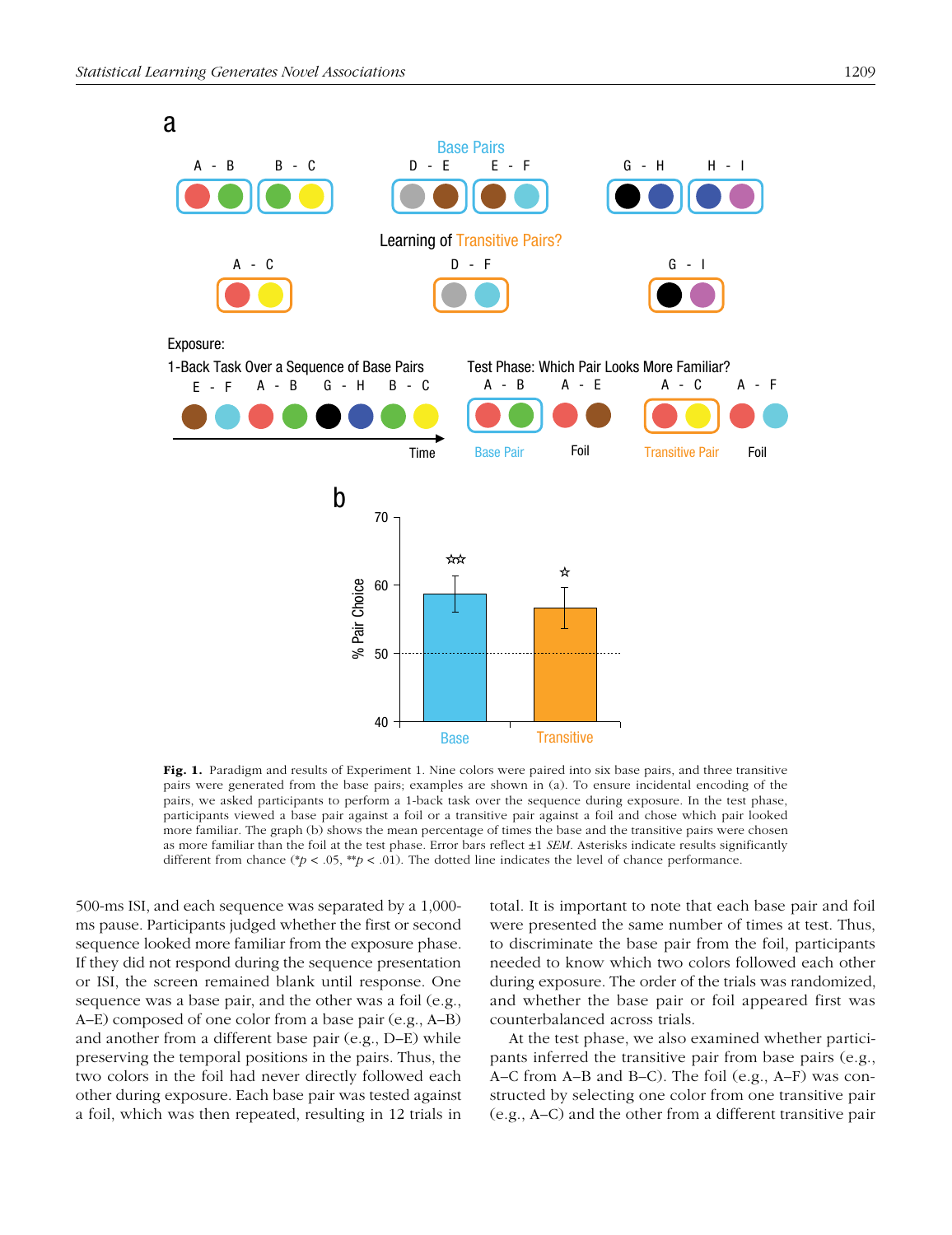

Fig. 1. Paradigm and results of Experiment 1. Nine colors were paired into six base pairs, and three transitive pairs were generated from the base pairs; examples are shown in (a). To ensure incidental encoding of the pairs, we asked participants to perform a 1-back task over the sequence during exposure. In the test phase, participants viewed a base pair against a foil or a transitive pair against a foil and chose which pair looked more familiar. The graph (b) shows the mean percentage of times the base and the transitive pairs were chosen as more familiar than the foil at the test phase. Error bars reflect ±1 *SEM*. Asterisks indicate results significantly different from chance (\**p* < .05, \*\**p* < .01). The dotted line indicates the level of chance performance.

500-ms ISI, and each sequence was separated by a 1,000 ms pause. Participants judged whether the first or second sequence looked more familiar from the exposure phase. If they did not respond during the sequence presentation or ISI, the screen remained blank until response. One sequence was a base pair, and the other was a foil (e.g., A–E) composed of one color from a base pair (e.g., A–B) and another from a different base pair (e.g., D–E) while preserving the temporal positions in the pairs. Thus, the two colors in the foil had never directly followed each other during exposure. Each base pair was tested against a foil, which was then repeated, resulting in 12 trials in total. It is important to note that each base pair and foil were presented the same number of times at test. Thus, to discriminate the base pair from the foil, participants needed to know which two colors followed each other during exposure. The order of the trials was randomized, and whether the base pair or foil appeared first was counterbalanced across trials.

At the test phase, we also examined whether participants inferred the transitive pair from base pairs (e.g., A–C from A–B and B–C). The foil (e.g., A–F) was constructed by selecting one color from one transitive pair (e.g., A–C) and the other from a different transitive pair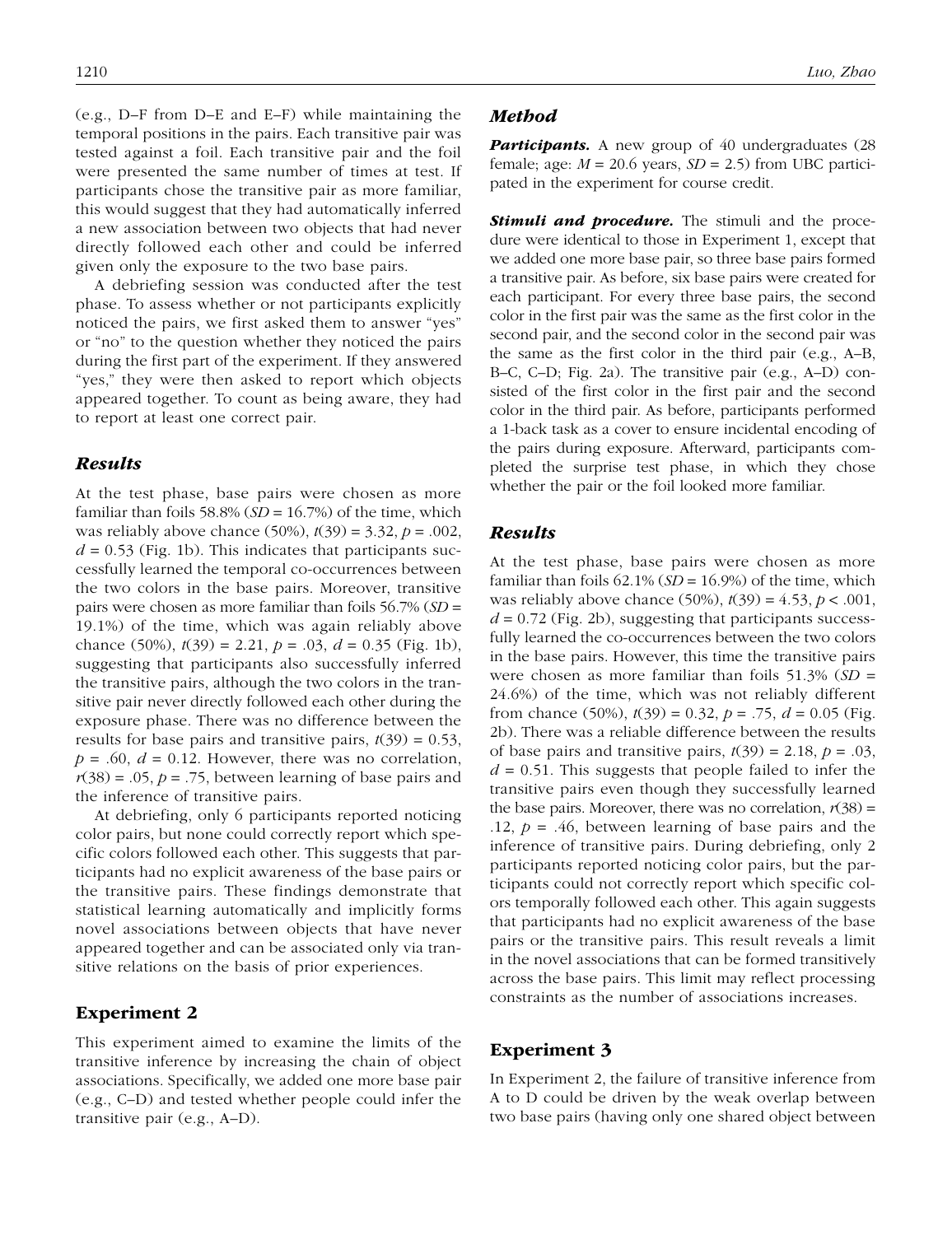(e.g., D–F from D–E and E–F) while maintaining the temporal positions in the pairs. Each transitive pair was tested against a foil. Each transitive pair and the foil were presented the same number of times at test. If participants chose the transitive pair as more familiar, this would suggest that they had automatically inferred a new association between two objects that had never directly followed each other and could be inferred given only the exposure to the two base pairs.

A debriefing session was conducted after the test phase. To assess whether or not participants explicitly noticed the pairs, we first asked them to answer "yes" or "no" to the question whether they noticed the pairs during the first part of the experiment. If they answered "yes," they were then asked to report which objects appeared together. To count as being aware, they had to report at least one correct pair.

#### *Results*

At the test phase, base pairs were chosen as more familiar than foils 58.8%  $(SD = 16.7%)$  of the time, which was reliably above chance (50%), *t*(39) = 3.32, *p* = .002,  $d = 0.53$  (Fig. 1b). This indicates that participants successfully learned the temporal co-occurrences between the two colors in the base pairs. Moreover, transitive pairs were chosen as more familiar than foils 56.7% (*SD* = 19.1%) of the time, which was again reliably above chance (50%), *t*(39) = 2.21, *p* = .03, *d* = 0.35 (Fig. 1b), suggesting that participants also successfully inferred the transitive pairs, although the two colors in the transitive pair never directly followed each other during the exposure phase. There was no difference between the results for base pairs and transitive pairs,  $t(39) = 0.53$ ,  $p = .60$ ,  $d = 0.12$ . However, there was no correlation,  $r(38) = .05$ ,  $p = .75$ , between learning of base pairs and the inference of transitive pairs.

At debriefing, only 6 participants reported noticing color pairs, but none could correctly report which specific colors followed each other. This suggests that participants had no explicit awareness of the base pairs or the transitive pairs. These findings demonstrate that statistical learning automatically and implicitly forms novel associations between objects that have never appeared together and can be associated only via transitive relations on the basis of prior experiences.

## Experiment 2

This experiment aimed to examine the limits of the transitive inference by increasing the chain of object associations. Specifically, we added one more base pair (e.g., C–D) and tested whether people could infer the transitive pair (e.g., A–D).

#### *Method*

**Participants.** A new group of 40 undergraduates (28 female; age:  $M = 20.6$  years,  $SD = 2.5$ ) from UBC participated in the experiment for course credit.

**Stimuli and procedure.** The stimuli and the procedure were identical to those in Experiment 1, except that we added one more base pair, so three base pairs formed a transitive pair. As before, six base pairs were created for each participant. For every three base pairs, the second color in the first pair was the same as the first color in the second pair, and the second color in the second pair was the same as the first color in the third pair (e.g., A–B, B–C, C–D; Fig. 2a). The transitive pair (e.g., A–D) consisted of the first color in the first pair and the second color in the third pair. As before, participants performed a 1-back task as a cover to ensure incidental encoding of the pairs during exposure. Afterward, participants completed the surprise test phase, in which they chose whether the pair or the foil looked more familiar.

## *Results*

At the test phase, base pairs were chosen as more familiar than foils  $62.1\%$  ( $SD = 16.9\%$ ) of the time, which was reliably above chance (50%), *t*(39) = 4.53, *p* < .001,  $d = 0.72$  (Fig. 2b), suggesting that participants successfully learned the co-occurrences between the two colors in the base pairs. However, this time the transitive pairs were chosen as more familiar than foils 51.3% (*SD* = 24.6%) of the time, which was not reliably different from chance (50%), *t*(39) = 0.32, *p* = .75, *d* = 0.05 (Fig. 2b). There was a reliable difference between the results of base pairs and transitive pairs,  $t(39) = 2.18$ ,  $p = .03$ ,  $d = 0.51$ . This suggests that people failed to infer the transitive pairs even though they successfully learned the base pairs. Moreover, there was no correlation,  $r(38)$  = .12,  $p = .46$ , between learning of base pairs and the inference of transitive pairs. During debriefing, only 2 participants reported noticing color pairs, but the participants could not correctly report which specific colors temporally followed each other. This again suggests that participants had no explicit awareness of the base pairs or the transitive pairs. This result reveals a limit in the novel associations that can be formed transitively across the base pairs. This limit may reflect processing constraints as the number of associations increases.

#### Experiment 3

In Experiment 2, the failure of transitive inference from A to D could be driven by the weak overlap between two base pairs (having only one shared object between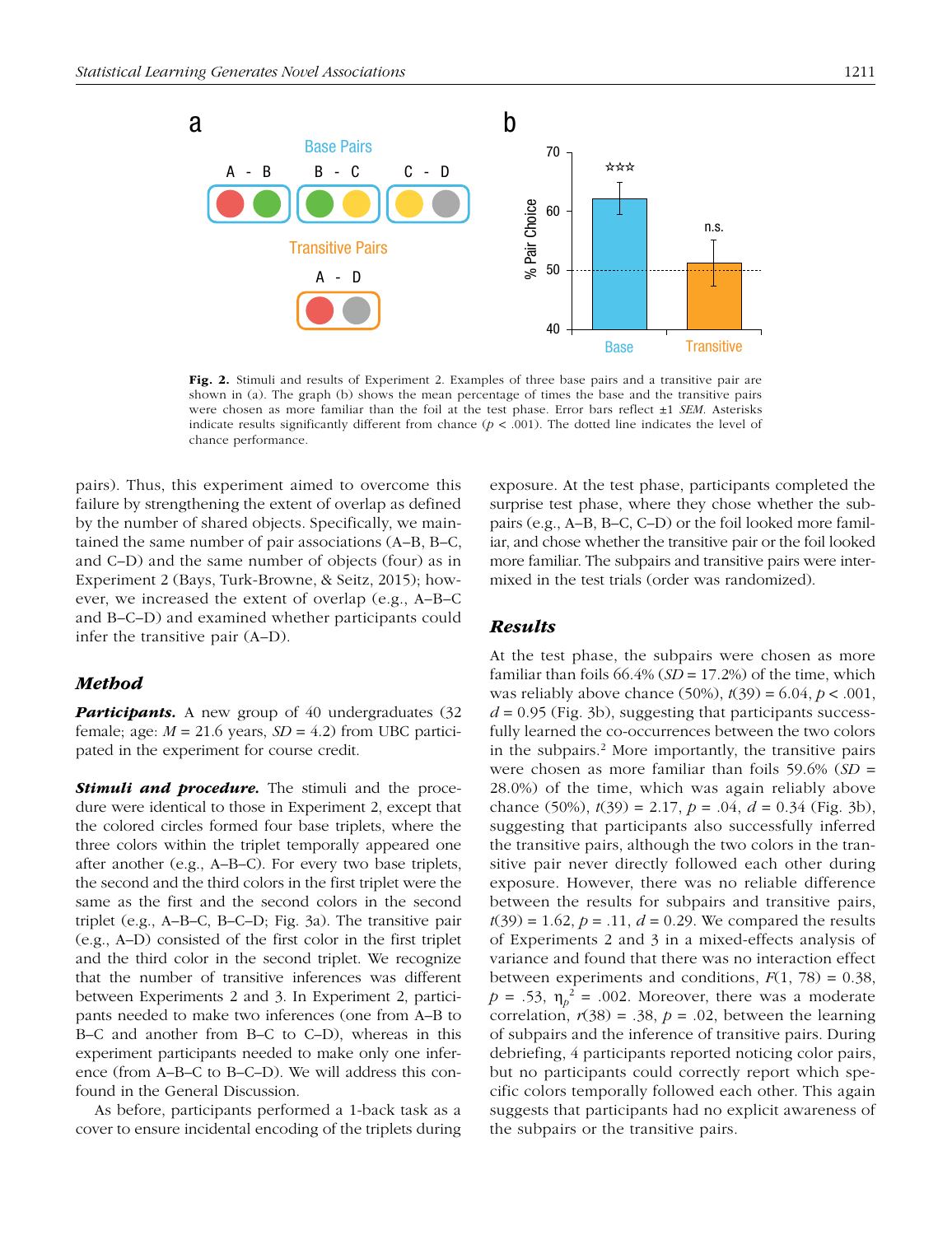

Fig. 2. Stimuli and results of Experiment 2. Examples of three base pairs and a transitive pair are shown in (a). The graph (b) shows the mean percentage of times the base and the transitive pairs were chosen as more familiar than the foil at the test phase. Error bars reflect ±1 *SEM*. Asterisks indicate results significantly different from chance  $(p < .001)$ . The dotted line indicates the level of chance performance.

pairs). Thus, this experiment aimed to overcome this failure by strengthening the extent of overlap as defined by the number of shared objects. Specifically, we maintained the same number of pair associations (A–B, B–C, and C–D) and the same number of objects (four) as in Experiment 2 (Bays, Turk-Browne, & Seitz, 2015); however, we increased the extent of overlap (e.g., A–B–C and B–C–D) and examined whether participants could infer the transitive pair (A–D).

## *Method*

**Participants.** A new group of 40 undergraduates (32 female; age:  $M = 21.6$  years,  $SD = 4.2$ ) from UBC participated in the experiment for course credit.

**Stimuli and procedure.** The stimuli and the procedure were identical to those in Experiment 2, except that the colored circles formed four base triplets, where the three colors within the triplet temporally appeared one after another (e.g., A–B–C). For every two base triplets, the second and the third colors in the first triplet were the same as the first and the second colors in the second triplet (e.g., A–B–C, B–C–D; Fig. 3a). The transitive pair (e.g., A–D) consisted of the first color in the first triplet and the third color in the second triplet. We recognize that the number of transitive inferences was different between Experiments 2 and 3. In Experiment 2, participants needed to make two inferences (one from A–B to B–C and another from B–C to C–D), whereas in this experiment participants needed to make only one inference (from A–B–C to B–C–D). We will address this confound in the General Discussion.

As before, participants performed a 1-back task as a cover to ensure incidental encoding of the triplets during exposure. At the test phase, participants completed the surprise test phase, where they chose whether the subpairs (e.g., A–B, B–C, C–D) or the foil looked more familiar, and chose whether the transitive pair or the foil looked more familiar. The subpairs and transitive pairs were intermixed in the test trials (order was randomized).

#### *Results*

At the test phase, the subpairs were chosen as more familiar than foils  $66.4\%$  (*SD* = 17.2%) of the time, which was reliably above chance (50%), *t*(39) = 6.04, *p* < .001,  $d = 0.95$  (Fig. 3b), suggesting that participants successfully learned the co-occurrences between the two colors in the subpairs.<sup>2</sup> More importantly, the transitive pairs were chosen as more familiar than foils 59.6% (*SD* = 28.0%) of the time, which was again reliably above chance (50%), *t*(39) = 2.17, *p* = .04, *d* = 0.34 (Fig. 3b), suggesting that participants also successfully inferred the transitive pairs, although the two colors in the transitive pair never directly followed each other during exposure. However, there was no reliable difference between the results for subpairs and transitive pairs,  $t(39) = 1.62, p = .11, d = 0.29$ . We compared the results of Experiments 2 and 3 in a mixed-effects analysis of variance and found that there was no interaction effect between experiments and conditions,  $F(1, 78) = 0.38$ ,  $p = .53$ ,  $\eta_p^2 = .002$ . Moreover, there was a moderate correlation,  $r(38) = .38$ ,  $p = .02$ , between the learning of subpairs and the inference of transitive pairs. During debriefing, 4 participants reported noticing color pairs, but no participants could correctly report which specific colors temporally followed each other. This again suggests that participants had no explicit awareness of the subpairs or the transitive pairs.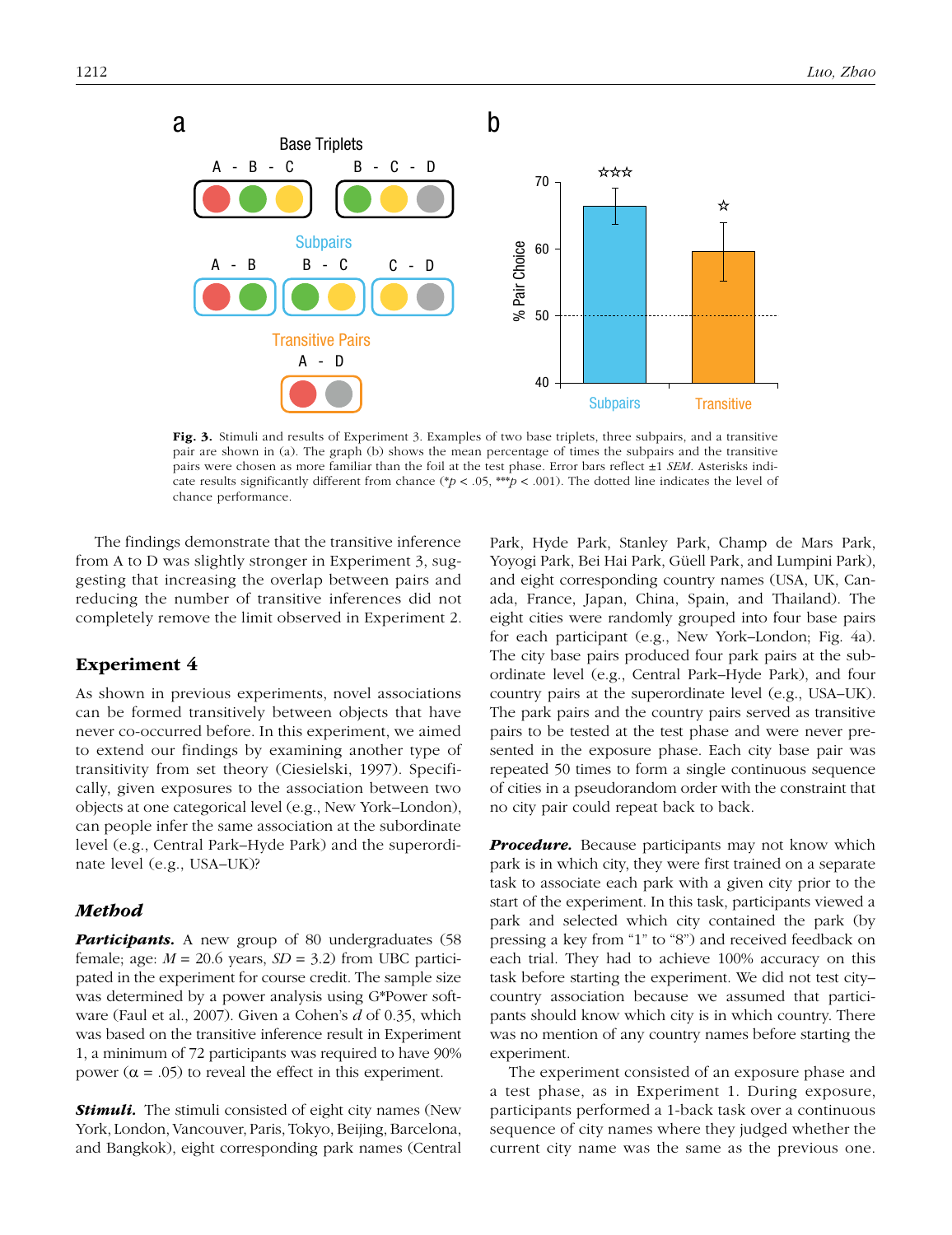

Fig. 3. Stimuli and results of Experiment 3. Examples of two base triplets, three subpairs, and a transitive pair are shown in (a). The graph (b) shows the mean percentage of times the subpairs and the transitive pairs were chosen as more familiar than the foil at the test phase. Error bars reflect ±1 *SEM*. Asterisks indicate results significantly different from chance (\* $p < .05$ , \*\*\* $p < .001$ ). The dotted line indicates the level of chance performance.

The findings demonstrate that the transitive inference from A to D was slightly stronger in Experiment 3, suggesting that increasing the overlap between pairs and reducing the number of transitive inferences did not completely remove the limit observed in Experiment 2.

## Experiment 4

As shown in previous experiments, novel associations can be formed transitively between objects that have never co-occurred before. In this experiment, we aimed to extend our findings by examining another type of transitivity from set theory (Ciesielski, 1997). Specifically, given exposures to the association between two objects at one categorical level (e.g., New York–London), can people infer the same association at the subordinate level (e.g., Central Park–Hyde Park) and the superordinate level (e.g., USA–UK)?

## *Method*

**Participants.** A new group of 80 undergraduates (58 female; age:  $M = 20.6$  years,  $SD = 3.2$ ) from UBC participated in the experiment for course credit. The sample size was determined by a power analysis using G\*Power software (Faul et al., 2007). Given a Cohen's *d* of 0.35, which was based on the transitive inference result in Experiment 1, a minimum of 72 participants was required to have 90% power  $(\alpha = .05)$  to reveal the effect in this experiment.

*Stimuli.* The stimuli consisted of eight city names (New York, London, Vancouver, Paris, Tokyo, Beijing, Barcelona, and Bangkok), eight corresponding park names (Central Park, Hyde Park, Stanley Park, Champ de Mars Park, Yoyogi Park, Bei Hai Park, Güell Park, and Lumpini Park), and eight corresponding country names (USA, UK, Canada, France, Japan, China, Spain, and Thailand). The eight cities were randomly grouped into four base pairs for each participant (e.g., New York–London; Fig. 4a). The city base pairs produced four park pairs at the subordinate level (e.g., Central Park–Hyde Park), and four country pairs at the superordinate level (e.g., USA–UK). The park pairs and the country pairs served as transitive pairs to be tested at the test phase and were never presented in the exposure phase. Each city base pair was repeated 50 times to form a single continuous sequence of cities in a pseudorandom order with the constraint that no city pair could repeat back to back.

*Procedure.* Because participants may not know which park is in which city, they were first trained on a separate task to associate each park with a given city prior to the start of the experiment. In this task, participants viewed a park and selected which city contained the park (by pressing a key from "1" to "8") and received feedback on each trial. They had to achieve 100% accuracy on this task before starting the experiment. We did not test city– country association because we assumed that participants should know which city is in which country. There was no mention of any country names before starting the experiment.

The experiment consisted of an exposure phase and a test phase, as in Experiment 1. During exposure, participants performed a 1-back task over a continuous sequence of city names where they judged whether the current city name was the same as the previous one.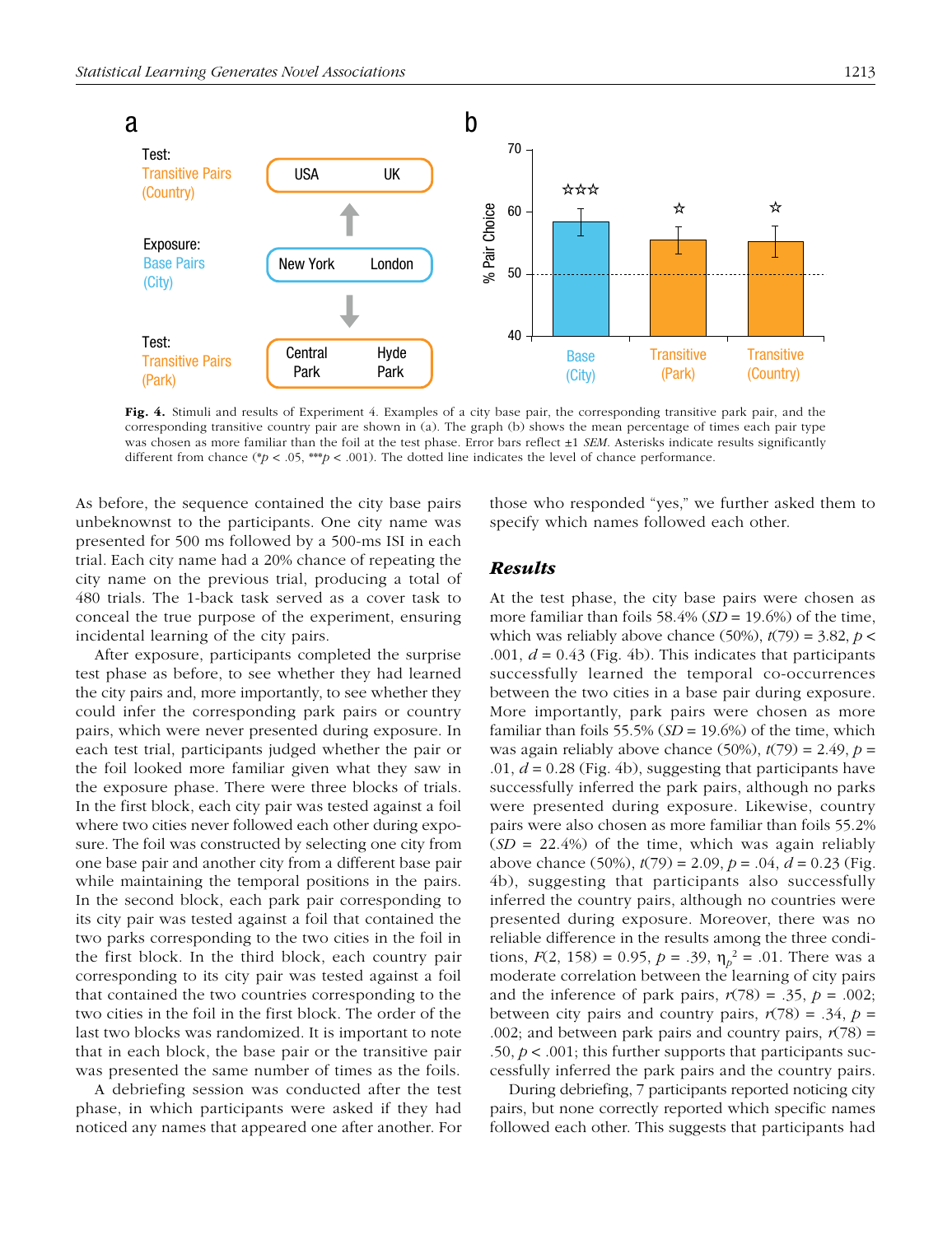

Fig. 4. Stimuli and results of Experiment 4. Examples of a city base pair, the corresponding transitive park pair, and the corresponding transitive country pair are shown in (a). The graph (b) shows the mean percentage of times each pair type was chosen as more familiar than the foil at the test phase. Error bars reflect ±1 *SEM*. Asterisks indicate results significantly different from chance (\**p* < .05, \*\*\**p* < .001). The dotted line indicates the level of chance performance.

As before, the sequence contained the city base pairs unbeknownst to the participants. One city name was presented for 500 ms followed by a 500-ms ISI in each trial. Each city name had a 20% chance of repeating the city name on the previous trial, producing a total of 480 trials. The 1-back task served as a cover task to conceal the true purpose of the experiment, ensuring incidental learning of the city pairs.

After exposure, participants completed the surprise test phase as before, to see whether they had learned the city pairs and, more importantly, to see whether they could infer the corresponding park pairs or country pairs, which were never presented during exposure. In each test trial, participants judged whether the pair or the foil looked more familiar given what they saw in the exposure phase. There were three blocks of trials. In the first block, each city pair was tested against a foil where two cities never followed each other during exposure. The foil was constructed by selecting one city from one base pair and another city from a different base pair while maintaining the temporal positions in the pairs. In the second block, each park pair corresponding to its city pair was tested against a foil that contained the two parks corresponding to the two cities in the foil in the first block. In the third block, each country pair corresponding to its city pair was tested against a foil that contained the two countries corresponding to the two cities in the foil in the first block. The order of the last two blocks was randomized. It is important to note that in each block, the base pair or the transitive pair was presented the same number of times as the foils.

A debriefing session was conducted after the test phase, in which participants were asked if they had noticed any names that appeared one after another. For those who responded "yes," we further asked them to specify which names followed each other.

#### *Results*

At the test phase, the city base pairs were chosen as more familiar than foils 58.4% (*SD* = 19.6%) of the time, which was reliably above chance (50%),  $t(79) = 3.82$ ,  $p <$ .001, *d* = 0.43 (Fig. 4b). This indicates that participants successfully learned the temporal co-occurrences between the two cities in a base pair during exposure. More importantly, park pairs were chosen as more familiar than foils 55.5% (*SD* = 19.6%) of the time, which was again reliably above chance  $(50\%)$ ,  $t(79) = 2.49$ ,  $p =$ .01, *d* = 0.28 (Fig. 4b), suggesting that participants have successfully inferred the park pairs, although no parks were presented during exposure. Likewise, country pairs were also chosen as more familiar than foils 55.2% (*SD* = 22.4%) of the time, which was again reliably above chance (50%), *t*(79) = 2.09, *p* = .04, *d* = 0.23 (Fig. 4b), suggesting that participants also successfully inferred the country pairs, although no countries were presented during exposure. Moreover, there was no reliable difference in the results among the three conditions,  $F(2, 158) = 0.95$ ,  $p = .39$ ,  $\eta_p^2 = .01$ . There was a moderate correlation between the learning of city pairs and the inference of park pairs,  $r(78) = .35$ ,  $p = .002$ ; between city pairs and country pairs,  $r(78) = .34$ ,  $p =$ .002; and between park pairs and country pairs,  $r(78)$  = .50,  $p < .001$ ; this further supports that participants successfully inferred the park pairs and the country pairs.

During debriefing, 7 participants reported noticing city pairs, but none correctly reported which specific names followed each other. This suggests that participants had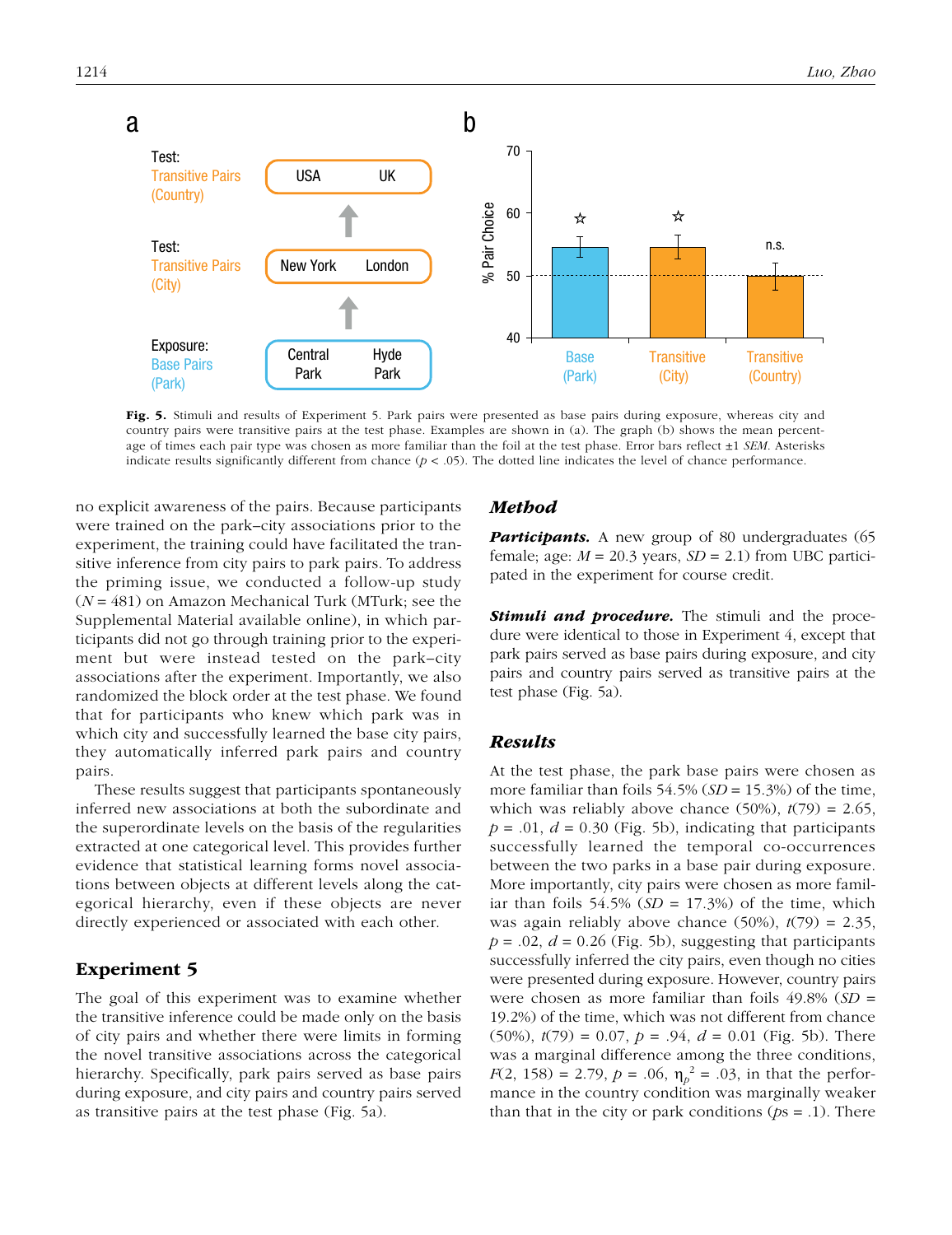

Fig. 5. Stimuli and results of Experiment 5. Park pairs were presented as base pairs during exposure, whereas city and country pairs were transitive pairs at the test phase. Examples are shown in (a). The graph (b) shows the mean percentage of times each pair type was chosen as more familiar than the foil at the test phase. Error bars reflect ±1 *SEM*. Asterisks indicate results significantly different from chance  $(p < .05)$ . The dotted line indicates the level of chance performance.

no explicit awareness of the pairs. Because participants were trained on the park–city associations prior to the experiment, the training could have facilitated the transitive inference from city pairs to park pairs. To address the priming issue, we conducted a follow-up study (*N* = 481) on Amazon Mechanical Turk (MTurk; see the Supplemental Material available online), in which participants did not go through training prior to the experiment but were instead tested on the park–city associations after the experiment. Importantly, we also randomized the block order at the test phase. We found that for participants who knew which park was in which city and successfully learned the base city pairs, they automatically inferred park pairs and country pairs.

These results suggest that participants spontaneously inferred new associations at both the subordinate and the superordinate levels on the basis of the regularities extracted at one categorical level. This provides further evidence that statistical learning forms novel associations between objects at different levels along the categorical hierarchy, even if these objects are never directly experienced or associated with each other.

## Experiment 5

The goal of this experiment was to examine whether the transitive inference could be made only on the basis of city pairs and whether there were limits in forming the novel transitive associations across the categorical hierarchy. Specifically, park pairs served as base pairs during exposure, and city pairs and country pairs served as transitive pairs at the test phase (Fig. 5a).

#### *Method*

**Participants.** A new group of 80 undergraduates (65 female; age:  $M = 20.3$  years,  $SD = 2.1$ ) from UBC participated in the experiment for course credit.

**Stimuli and procedure.** The stimuli and the procedure were identical to those in Experiment 4, except that park pairs served as base pairs during exposure, and city pairs and country pairs served as transitive pairs at the test phase (Fig. 5a).

#### *Results*

At the test phase, the park base pairs were chosen as more familiar than foils 54.5% (*SD* = 15.3%) of the time, which was reliably above chance  $(50\%)$ ,  $t(79) = 2.65$ ,  $p = .01$ ,  $d = 0.30$  (Fig. 5b), indicating that participants successfully learned the temporal co-occurrences between the two parks in a base pair during exposure. More importantly, city pairs were chosen as more familiar than foils  $54.5\%$  ( $SD = 17.3\%$ ) of the time, which was again reliably above chance  $(50\%)$ ,  $t(79) = 2.35$ ,  $p = .02$ ,  $d = 0.26$  (Fig. 5b), suggesting that participants successfully inferred the city pairs, even though no cities were presented during exposure. However, country pairs were chosen as more familiar than foils 49.8% (*SD* = 19.2%) of the time, which was not different from chance (50%),  $t(79) = 0.07$ ,  $p = .94$ ,  $d = 0.01$  (Fig. 5b). There was a marginal difference among the three conditions, *F*(2, 158) = 2.79, *p* = .06,  $\eta_p^2$  = .03, in that the performance in the country condition was marginally weaker than that in the city or park conditions (*p*s = .1). There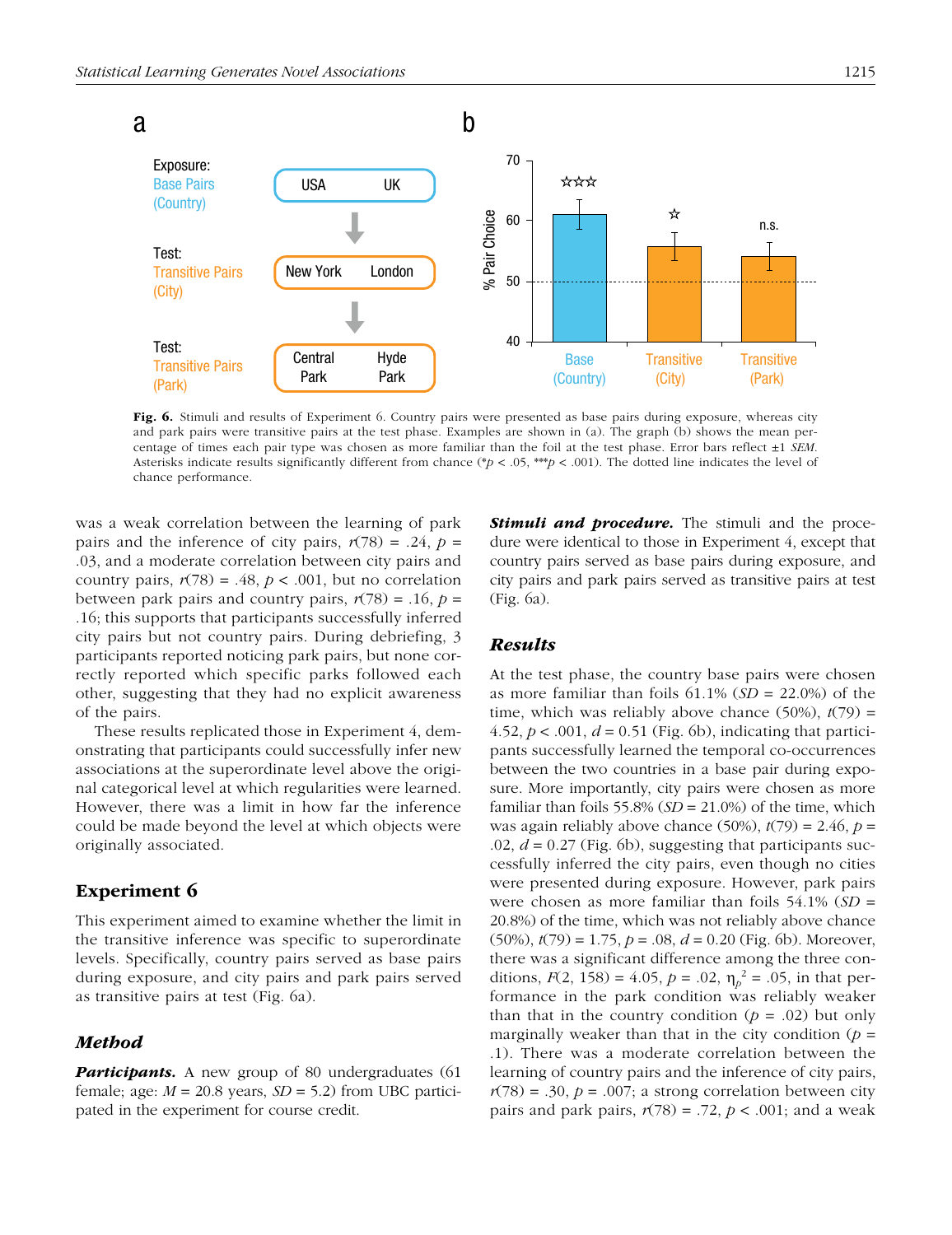

Fig. 6. Stimuli and results of Experiment 6. Country pairs were presented as base pairs during exposure, whereas city and park pairs were transitive pairs at the test phase. Examples are shown in (a). The graph (b) shows the mean percentage of times each pair type was chosen as more familiar than the foil at the test phase. Error bars reflect ±1 *SEM*. Asterisks indicate results significantly different from chance (\**p* < .05, \*\*\**p* < .001). The dotted line indicates the level of chance performance.

was a weak correlation between the learning of park pairs and the inference of city pairs,  $r(78) = .24$ ,  $p =$ .03, and a moderate correlation between city pairs and country pairs,  $r(78) = .48$ ,  $p < .001$ , but no correlation between park pairs and country pairs,  $r(78) = .16$ ,  $p =$ .16; this supports that participants successfully inferred city pairs but not country pairs. During debriefing, 3 participants reported noticing park pairs, but none correctly reported which specific parks followed each other, suggesting that they had no explicit awareness of the pairs.

These results replicated those in Experiment 4, demonstrating that participants could successfully infer new associations at the superordinate level above the original categorical level at which regularities were learned. However, there was a limit in how far the inference could be made beyond the level at which objects were originally associated.

## Experiment 6

This experiment aimed to examine whether the limit in the transitive inference was specific to superordinate levels. Specifically, country pairs served as base pairs during exposure, and city pairs and park pairs served as transitive pairs at test (Fig. 6a).

## *Method*

**Participants.** A new group of 80 undergraduates (61 female; age:  $M = 20.8$  years,  $SD = 5.2$ ) from UBC participated in the experiment for course credit.

**Stimuli and procedure.** The stimuli and the procedure were identical to those in Experiment 4, except that country pairs served as base pairs during exposure, and city pairs and park pairs served as transitive pairs at test (Fig. 6a).

#### *Results*

At the test phase, the country base pairs were chosen as more familiar than foils 61.1% (*SD* = 22.0%) of the time, which was reliably above chance  $(50\%)$ ,  $t(79)$  = 4.52,  $p < .001$ ,  $d = 0.51$  (Fig. 6b), indicating that participants successfully learned the temporal co-occurrences between the two countries in a base pair during exposure. More importantly, city pairs were chosen as more familiar than foils 55.8%  $(SD = 21.0\%)$  of the time, which was again reliably above chance  $(50\%)$ ,  $t(79) = 2.46$ ,  $p =$  $.02, d = 0.27$  (Fig. 6b), suggesting that participants successfully inferred the city pairs, even though no cities were presented during exposure. However, park pairs were chosen as more familiar than foils 54.1% (*SD* = 20.8%) of the time, which was not reliably above chance (50%), *t*(79) = 1.75, *p* = .08, *d* = 0.20 (Fig. 6b). Moreover, there was a significant difference among the three conditions,  $F(2, 158) = 4.05$ ,  $p = .02$ ,  $\eta_p^2 = .05$ , in that performance in the park condition was reliably weaker than that in the country condition  $(p = .02)$  but only marginally weaker than that in the city condition  $(p =$ .1). There was a moderate correlation between the learning of country pairs and the inference of city pairs,  $r(78) = .30, p = .007$ ; a strong correlation between city pairs and park pairs,  $r(78) = .72$ ,  $p < .001$ ; and a weak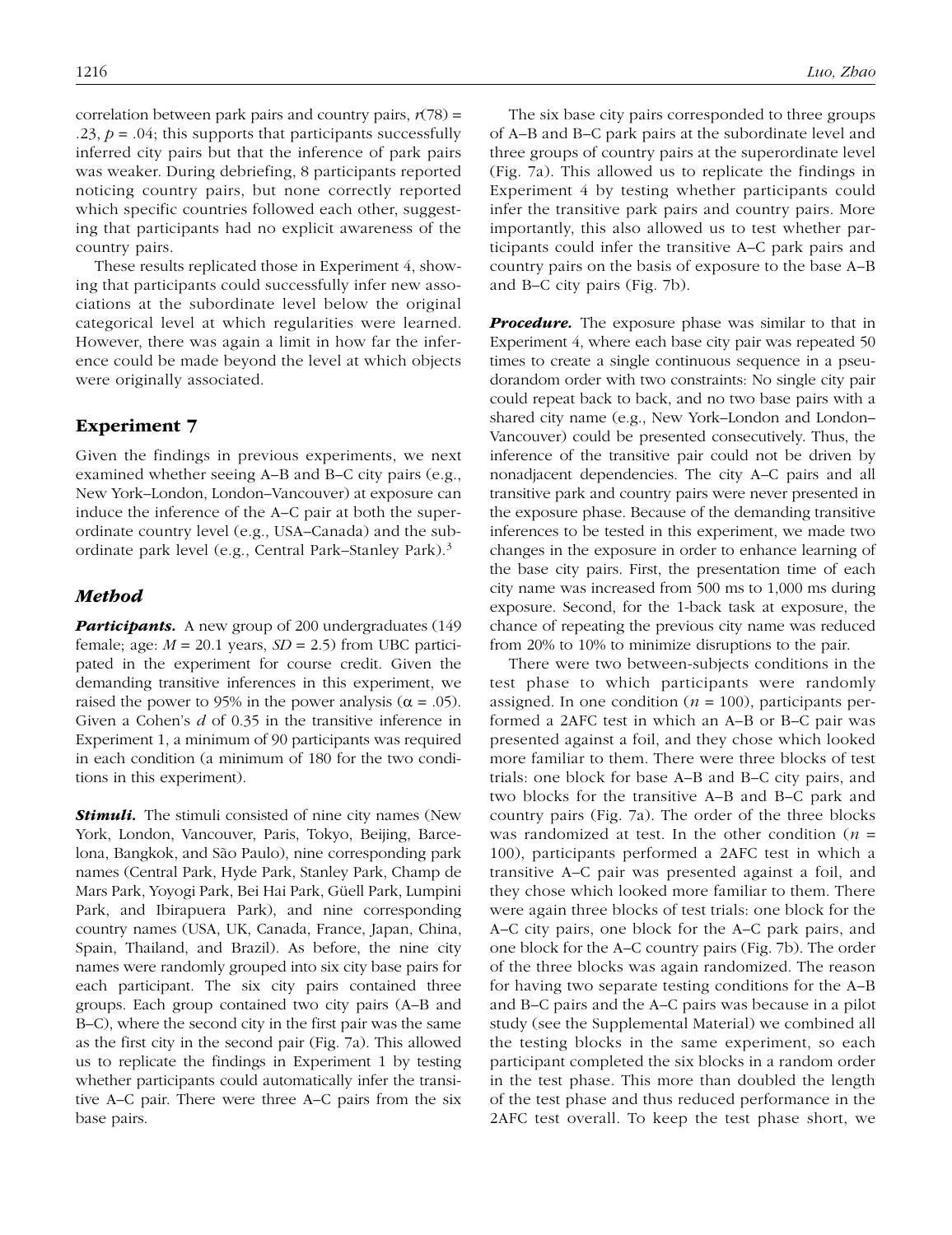correlation between park pairs and country pairs,  $r(78) =$ .23,  $p = .04$ ; this supports that participants successfully inferred city pairs but that the inference of park pairs was weaker. During debriefing, 8 participants reported noticing country pairs, but none correctly reported which specific countries followed each other, suggesting that participants had no explicit awareness of the country pairs.

These results replicated those in Experiment 4, showing that participants could successfully infer new associations at the subordinate level below the original categorical level at which regularities were learned. However, there was again a limit in how far the inference could be made beyond the level at which objects were originally associated.

## Experiment 7

Given the findings in previous experiments, we next examined whether seeing A–B and B–C city pairs (e.g., New York–London, London–Vancouver) at exposure can induce the inference of the A–C pair at both the superordinate country level (e.g., USA–Canada) and the subordinate park level (e.g., Central Park–Stanley Park).3

#### *Method*

**Participants.** A new group of 200 undergraduates (149) female; age:  $M = 20.1$  years,  $SD = 2.5$ ) from UBC participated in the experiment for course credit. Given the demanding transitive inferences in this experiment, we raised the power to 95% in the power analysis ( $\alpha = .05$ ). Given a Cohen's *d* of 0.35 in the transitive inference in Experiment 1, a minimum of 90 participants was required in each condition (a minimum of 180 for the two conditions in this experiment).

**Stimuli.** The stimuli consisted of nine city names (New York, London, Vancouver, Paris, Tokyo, Beijing, Barcelona, Bangkok, and São Paulo), nine corresponding park names (Central Park, Hyde Park, Stanley Park, Champ de Mars Park, Yoyogi Park, Bei Hai Park, Güell Park, Lumpini Park, and Ibirapuera Park), and nine corresponding country names (USA, UK, Canada, France, Japan, China, Spain, Thailand, and Brazil). As before, the nine city names were randomly grouped into six city base pairs for each participant. The six city pairs contained three groups. Each group contained two city pairs (A–B and B–C), where the second city in the first pair was the same as the first city in the second pair (Fig. 7a). This allowed us to replicate the findings in Experiment 1 by testing whether participants could automatically infer the transitive A–C pair. There were three A–C pairs from the six base pairs.

The six base city pairs corresponded to three groups of A–B and B–C park pairs at the subordinate level and three groups of country pairs at the superordinate level (Fig. 7a). This allowed us to replicate the findings in Experiment 4 by testing whether participants could infer the transitive park pairs and country pairs. More importantly, this also allowed us to test whether participants could infer the transitive A–C park pairs and country pairs on the basis of exposure to the base A–B and B–C city pairs (Fig. 7b).

*Procedure.* The exposure phase was similar to that in Experiment 4, where each base city pair was repeated 50 times to create a single continuous sequence in a pseudorandom order with two constraints: No single city pair could repeat back to back, and no two base pairs with a shared city name (e.g., New York–London and London– Vancouver) could be presented consecutively. Thus, the inference of the transitive pair could not be driven by nonadjacent dependencies. The city A–C pairs and all transitive park and country pairs were never presented in the exposure phase. Because of the demanding transitive inferences to be tested in this experiment, we made two changes in the exposure in order to enhance learning of the base city pairs. First, the presentation time of each city name was increased from 500 ms to 1,000 ms during exposure. Second, for the 1-back task at exposure, the chance of repeating the previous city name was reduced from 20% to 10% to minimize disruptions to the pair.

There were two between-subjects conditions in the test phase to which participants were randomly assigned. In one condition ( $n = 100$ ), participants performed a 2AFC test in which an A–B or B–C pair was presented against a foil, and they chose which looked more familiar to them. There were three blocks of test trials: one block for base A–B and B–C city pairs, and two blocks for the transitive A–B and B–C park and country pairs (Fig. 7a). The order of the three blocks was randomized at test. In the other condition (*n* = 100), participants performed a 2AFC test in which a transitive A–C pair was presented against a foil, and they chose which looked more familiar to them. There were again three blocks of test trials: one block for the A–C city pairs, one block for the A–C park pairs, and one block for the A–C country pairs (Fig. 7b). The order of the three blocks was again randomized. The reason for having two separate testing conditions for the A–B and B–C pairs and the A–C pairs was because in a pilot study (see the Supplemental Material) we combined all the testing blocks in the same experiment, so each participant completed the six blocks in a random order in the test phase. This more than doubled the length of the test phase and thus reduced performance in the 2AFC test overall. To keep the test phase short, we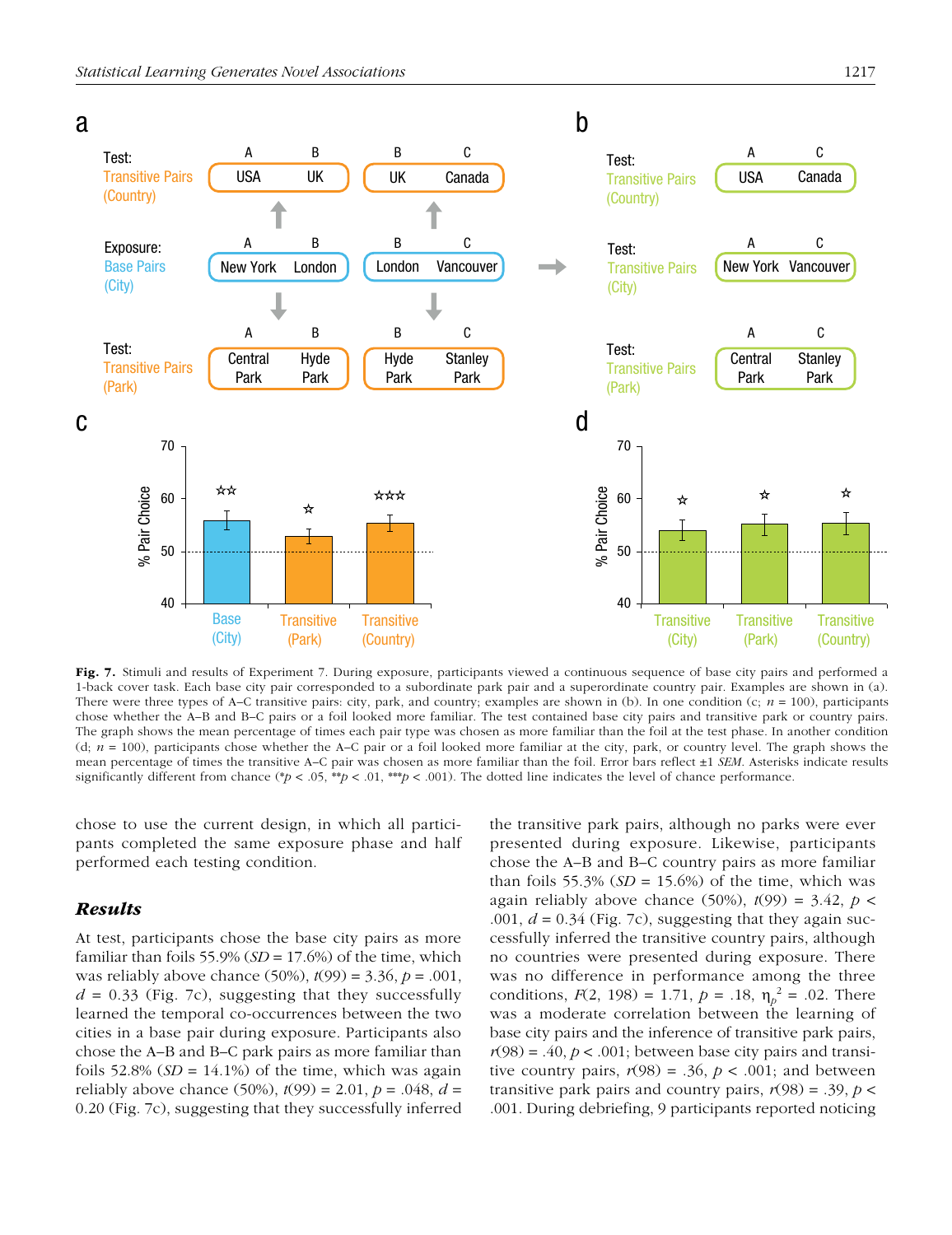

Fig. 7. Stimuli and results of Experiment 7. During exposure, participants viewed a continuous sequence of base city pairs and performed a 1-back cover task. Each base city pair corresponded to a subordinate park pair and a superordinate country pair. Examples are shown in (a). There were three types of A–C transitive pairs: city, park, and country; examples are shown in (b). In one condition (c; *n* = 100), participants chose whether the A–B and B–C pairs or a foil looked more familiar. The test contained base city pairs and transitive park or country pairs. The graph shows the mean percentage of times each pair type was chosen as more familiar than the foil at the test phase. In another condition (d; *n* = 100), participants chose whether the A–C pair or a foil looked more familiar at the city, park, or country level. The graph shows the mean percentage of times the transitive A–C pair was chosen as more familiar than the foil. Error bars reflect ±1 *SEM*. Asterisks indicate results significantly different from chance (\* $p < .05$ , \*\* $p < .01$ , \*\*\* $p < .001$ ). The dotted line indicates the level of chance performance.

chose to use the current design, in which all participants completed the same exposure phase and half performed each testing condition.

## *Results*

At test, participants chose the base city pairs as more familiar than foils 55.9%  $(SD = 17.6%)$  of the time, which was reliably above chance (50%), *t*(99) = 3.36, *p* = .001,  $d = 0.33$  (Fig. 7c), suggesting that they successfully learned the temporal co-occurrences between the two cities in a base pair during exposure. Participants also chose the A–B and B–C park pairs as more familiar than foils  $52.8\%$  (*SD* = 14.1%) of the time, which was again reliably above chance (50%), *t*(99) = 2.01, *p* = .048, *d* = 0.20 (Fig. 7c), suggesting that they successfully inferred the transitive park pairs, although no parks were ever presented during exposure. Likewise, participants chose the A–B and B–C country pairs as more familiar than foils 55.3%  $(SD = 15.6\%)$  of the time, which was again reliably above chance (50%),  $t(99) = 3.42$ ,  $p <$ .001,  $d = 0.34$  (Fig. 7c), suggesting that they again successfully inferred the transitive country pairs, although no countries were presented during exposure. There was no difference in performance among the three conditions,  $F(2, 198) = 1.71$ ,  $p = .18$ ,  $\eta_p^2 = .02$ . There was a moderate correlation between the learning of base city pairs and the inference of transitive park pairs,  $r(98) = .40, p < .001$ ; between base city pairs and transitive country pairs,  $r(98) = .36$ ,  $p < .001$ ; and between transitive park pairs and country pairs,  $r(98) = .39$ ,  $p <$ .001. During debriefing, 9 participants reported noticing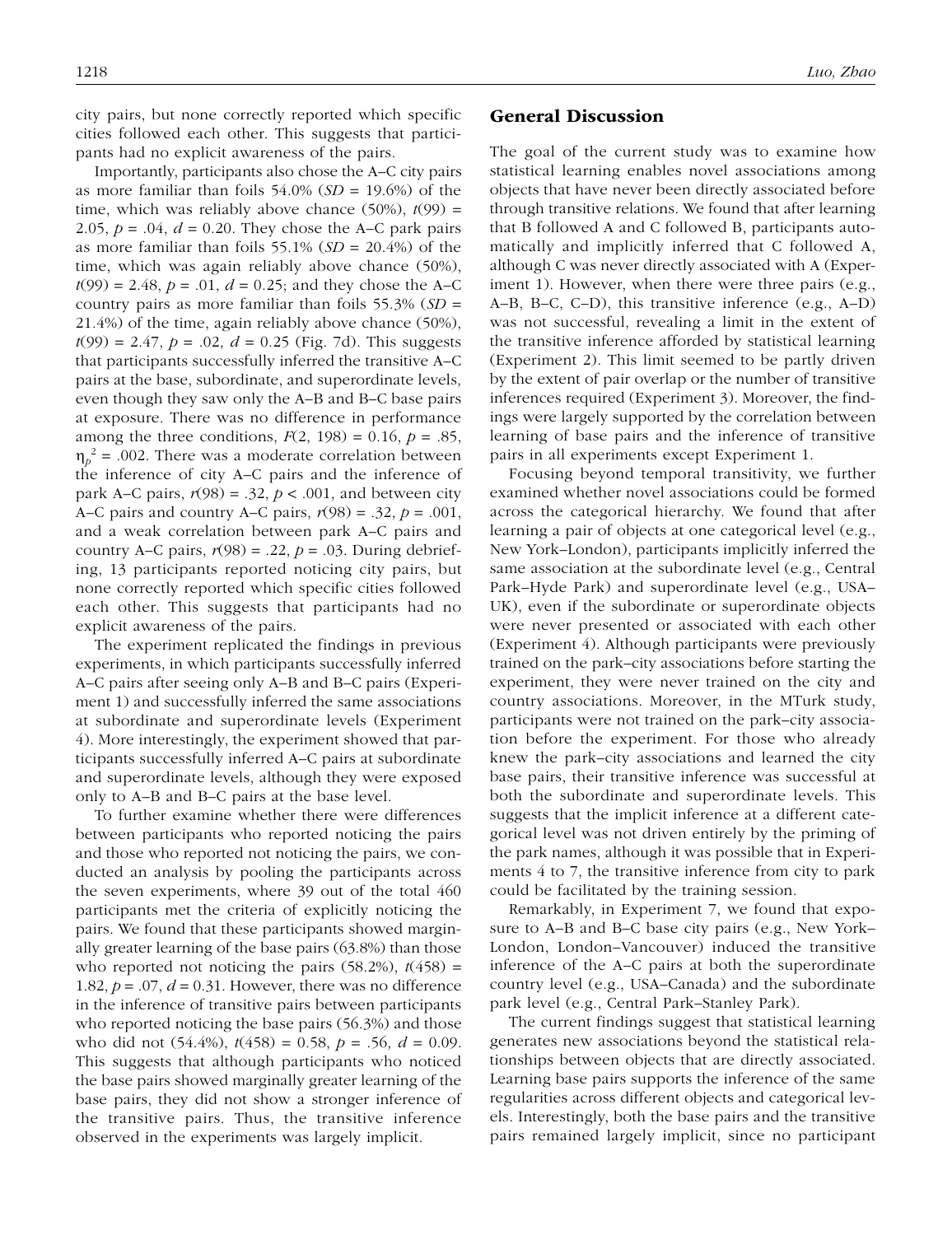city pairs, but none correctly reported which specific cities followed each other. This suggests that participants had no explicit awareness of the pairs.

Importantly, participants also chose the A–C city pairs as more familiar than foils 54.0% (*SD* = 19.6%) of the time, which was reliably above chance  $(50\%)$ ,  $t(99)$  = 2.05,  $p = .04$ ,  $d = 0.20$ . They chose the A–C park pairs as more familiar than foils 55.1% (*SD* = 20.4%) of the time, which was again reliably above chance (50%),  $t(99) = 2.48$ ,  $p = .01$ ,  $d = 0.25$ ; and they chose the A–C country pairs as more familiar than foils 55.3% (*SD* = 21.4%) of the time, again reliably above chance (50%),  $t(99) = 2.47$ ,  $p = .02$ ,  $d = 0.25$  (Fig. 7d). This suggests that participants successfully inferred the transitive A–C pairs at the base, subordinate, and superordinate levels, even though they saw only the A–B and B–C base pairs at exposure. There was no difference in performance among the three conditions,  $F(2, 198) = 0.16$ ,  $p = .85$ ,  $\eta_p^2$  = .002. There was a moderate correlation between the inference of city A–C pairs and the inference of park A–C pairs,  $r(98) = .32$ ,  $p < .001$ , and between city A–C pairs and country A–C pairs, *r*(98) = .32, *p* = .001, and a weak correlation between park A–C pairs and country A–C pairs,  $r(98) = .22$ ,  $p = .03$ . During debriefing, 13 participants reported noticing city pairs, but none correctly reported which specific cities followed each other. This suggests that participants had no explicit awareness of the pairs.

The experiment replicated the findings in previous experiments, in which participants successfully inferred A–C pairs after seeing only A–B and B–C pairs (Experiment 1) and successfully inferred the same associations at subordinate and superordinate levels (Experiment 4). More interestingly, the experiment showed that participants successfully inferred A–C pairs at subordinate and superordinate levels, although they were exposed only to A–B and B–C pairs at the base level.

To further examine whether there were differences between participants who reported noticing the pairs and those who reported not noticing the pairs, we conducted an analysis by pooling the participants across the seven experiments, where 39 out of the total 460 participants met the criteria of explicitly noticing the pairs. We found that these participants showed marginally greater learning of the base pairs (63.8%) than those who reported not noticing the pairs  $(58.2\%)$ ,  $t(458)$  = 1.82,  $p = .07$ ,  $d = 0.31$ . However, there was no difference in the inference of transitive pairs between participants who reported noticing the base pairs (56.3%) and those who did not (54.4%), *t*(458) = 0.58, *p* = .56, *d* = 0.09. This suggests that although participants who noticed the base pairs showed marginally greater learning of the base pairs, they did not show a stronger inference of the transitive pairs. Thus, the transitive inference observed in the experiments was largely implicit.

#### General Discussion

The goal of the current study was to examine how statistical learning enables novel associations among objects that have never been directly associated before through transitive relations. We found that after learning that B followed A and C followed B, participants automatically and implicitly inferred that C followed A, although C was never directly associated with A (Experiment 1). However, when there were three pairs (e.g., A–B, B–C, C–D), this transitive inference (e.g., A–D) was not successful, revealing a limit in the extent of the transitive inference afforded by statistical learning (Experiment 2). This limit seemed to be partly driven by the extent of pair overlap or the number of transitive inferences required (Experiment 3). Moreover, the findings were largely supported by the correlation between learning of base pairs and the inference of transitive pairs in all experiments except Experiment 1.

Focusing beyond temporal transitivity, we further examined whether novel associations could be formed across the categorical hierarchy. We found that after learning a pair of objects at one categorical level (e.g., New York–London), participants implicitly inferred the same association at the subordinate level (e.g., Central Park–Hyde Park) and superordinate level (e.g., USA– UK), even if the subordinate or superordinate objects were never presented or associated with each other (Experiment 4). Although participants were previously trained on the park–city associations before starting the experiment, they were never trained on the city and country associations. Moreover, in the MTurk study, participants were not trained on the park–city association before the experiment. For those who already knew the park–city associations and learned the city base pairs, their transitive inference was successful at both the subordinate and superordinate levels. This suggests that the implicit inference at a different categorical level was not driven entirely by the priming of the park names, although it was possible that in Experiments 4 to 7, the transitive inference from city to park could be facilitated by the training session.

Remarkably, in Experiment 7, we found that exposure to A–B and B–C base city pairs (e.g., New York– London, London–Vancouver) induced the transitive inference of the A–C pairs at both the superordinate country level (e.g., USA–Canada) and the subordinate park level (e.g., Central Park–Stanley Park).

The current findings suggest that statistical learning generates new associations beyond the statistical relationships between objects that are directly associated. Learning base pairs supports the inference of the same regularities across different objects and categorical levels. Interestingly, both the base pairs and the transitive pairs remained largely implicit, since no participant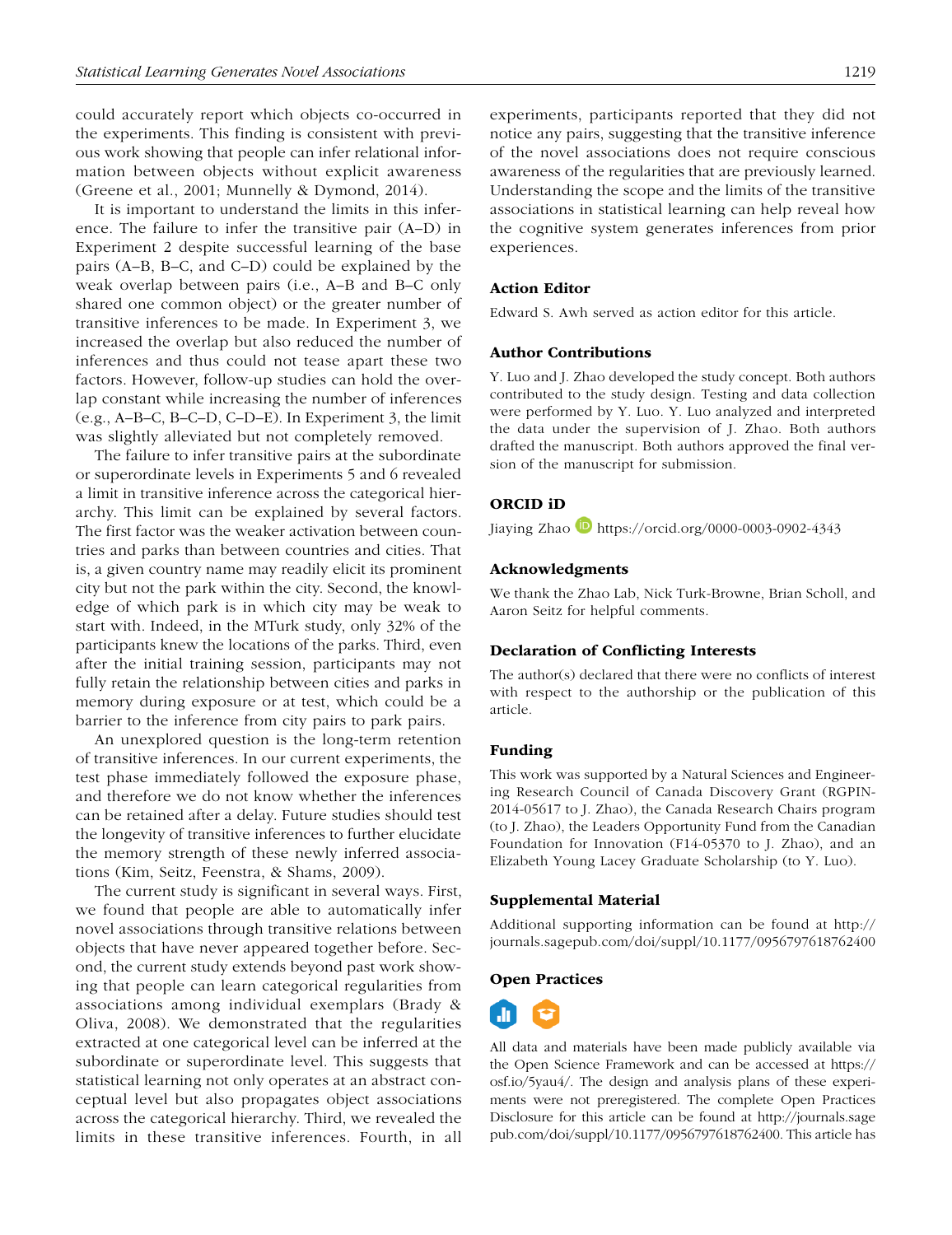could accurately report which objects co-occurred in the experiments. This finding is consistent with previous work showing that people can infer relational information between objects without explicit awareness (Greene et al., 2001; Munnelly & Dymond, 2014).

It is important to understand the limits in this inference. The failure to infer the transitive pair (A–D) in Experiment 2 despite successful learning of the base pairs (A–B, B–C, and C–D) could be explained by the weak overlap between pairs (i.e., A–B and B–C only shared one common object) or the greater number of transitive inferences to be made. In Experiment 3, we increased the overlap but also reduced the number of inferences and thus could not tease apart these two factors. However, follow-up studies can hold the overlap constant while increasing the number of inferences (e.g., A–B–C, B–C–D, C–D–E). In Experiment 3, the limit was slightly alleviated but not completely removed.

The failure to infer transitive pairs at the subordinate or superordinate levels in Experiments 5 and 6 revealed a limit in transitive inference across the categorical hierarchy. This limit can be explained by several factors. The first factor was the weaker activation between countries and parks than between countries and cities. That is, a given country name may readily elicit its prominent city but not the park within the city. Second, the knowledge of which park is in which city may be weak to start with. Indeed, in the MTurk study, only 32% of the participants knew the locations of the parks. Third, even after the initial training session, participants may not fully retain the relationship between cities and parks in memory during exposure or at test, which could be a barrier to the inference from city pairs to park pairs.

An unexplored question is the long-term retention of transitive inferences. In our current experiments, the test phase immediately followed the exposure phase, and therefore we do not know whether the inferences can be retained after a delay. Future studies should test the longevity of transitive inferences to further elucidate the memory strength of these newly inferred associations (Kim, Seitz, Feenstra, & Shams, 2009).

The current study is significant in several ways. First, we found that people are able to automatically infer novel associations through transitive relations between objects that have never appeared together before. Second, the current study extends beyond past work showing that people can learn categorical regularities from associations among individual exemplars (Brady & Oliva, 2008). We demonstrated that the regularities extracted at one categorical level can be inferred at the subordinate or superordinate level. This suggests that statistical learning not only operates at an abstract conceptual level but also propagates object associations across the categorical hierarchy. Third, we revealed the limits in these transitive inferences. Fourth, in all experiments, participants reported that they did not notice any pairs, suggesting that the transitive inference of the novel associations does not require conscious awareness of the regularities that are previously learned. Understanding the scope and the limits of the transitive associations in statistical learning can help reveal how the cognitive system generates inferences from prior experiences.

#### Action Editor

Edward S. Awh served as action editor for this article.

#### Author Contributions

Y. Luo and J. Zhao developed the study concept. Both authors contributed to the study design. Testing and data collection were performed by Y. Luo. Y. Luo analyzed and interpreted the data under the supervision of J. Zhao. Both authors drafted the manuscript. Both authors approved the final version of the manuscript for submission.

#### ORCID iD

Jiaying Zhao <https://orcid.org/0000-0003-0902-4343>

#### Acknowledgments

We thank the Zhao Lab, Nick Turk-Browne, Brian Scholl, and Aaron Seitz for helpful comments.

#### Declaration of Conflicting Interests

The author(s) declared that there were no conflicts of interest with respect to the authorship or the publication of this article.

#### Funding

This work was supported by a Natural Sciences and Engineering Research Council of Canada Discovery Grant (RGPIN-2014-05617 to J. Zhao), the Canada Research Chairs program (to J. Zhao), the Leaders Opportunity Fund from the Canadian Foundation for Innovation (F14-05370 to J. Zhao), and an Elizabeth Young Lacey Graduate Scholarship (to Y. Luo).

#### Supplemental Material

Additional supporting information can be found at [http://](http://journals.sagepub.com/doi/suppl/10.1177/0956797618762400) [journals.sagepub.com/doi/suppl/10.1177/0956797618762400](http://journals.sagepub.com/doi/suppl/10.1177/0956797618762400)

#### Open Practices



All data and materials have been made publicly available via the Open Science Framework and can be accessed at [https://](https://osf.io/5yau4/) [osf.io/5yau4/](https://osf.io/5yau4/). The design and analysis plans of these experiments were not preregistered. The complete Open Practices Disclosure for this article can be found at [http://journals.sage](http://journals.sagepub.com/doi/suppl/10.1177/0956797618762400) [pub.com/doi/suppl/10.1177/0956797618762400](http://journals.sagepub.com/doi/suppl/10.1177/0956797618762400). This article has